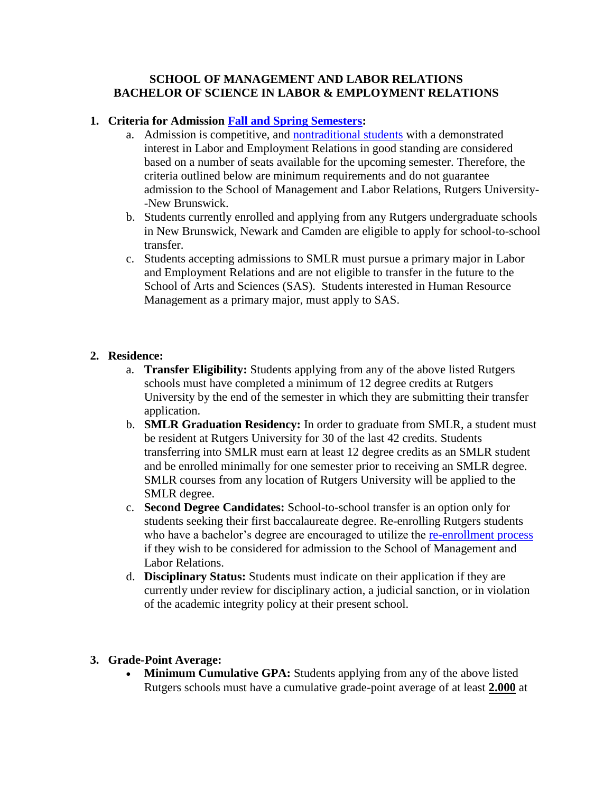### **SCHOOL OF MANAGEMENT AND LABOR RELATIONS BACHELOR OF SCIENCE IN LABOR & EMPLOYMENT RELATIONS**

## **1. Criteria for Admission [Fall and Spring Semesters:](https://www.ugadmissions.rutgers.edu/SchoolToSchool/procedures.aspx)**

- a. Admission is competitive, and [nontraditional students](http://ucc.rutgers.edu/) with a demonstrated interest in Labor and Employment Relations in good standing are considered based on a number of seats available for the upcoming semester. Therefore, the criteria outlined below are minimum requirements and do not guarantee admission to the School of Management and Labor Relations, Rutgers University- -New Brunswick.
- b. Students currently enrolled and applying from any Rutgers undergraduate schools in New Brunswick, Newark and Camden are eligible to apply for school-to-school transfer.
- c. Students accepting admissions to SMLR must pursue a primary major in Labor and Employment Relations and are not eligible to transfer in the future to the School of Arts and Sciences (SAS). Students interested in Human Resource Management as a primary major, must apply to SAS.

## **2. Residence:**

- a. **Transfer Eligibility:** Students applying from any of the above listed Rutgers schools must have completed a minimum of 12 degree credits at Rutgers University by the end of the semester in which they are submitting their transfer application.
- b. **SMLR Graduation Residency:** In order to graduate from SMLR, a student must be resident at Rutgers University for 30 of the last 42 credits. Students transferring into SMLR must earn at least 12 degree credits as an SMLR student and be enrolled minimally for one semester prior to receiving an SMLR degree. SMLR courses from any location of Rutgers University will be applied to the SMLR degree.
- c. **Second Degree Candidates:** School-to-school transfer is an option only for students seeking their first baccalaureate degree. Re-enrolling Rutgers students who have a bachelor's degree are encouraged to utilize the [re-enrollment process](https://www.ugadmissions.rutgers.edu/reenrollment/) if they wish to be considered for admission to the School of Management and Labor Relations.
- d. **Disciplinary Status:** Students must indicate on their application if they are currently under review for disciplinary action, a judicial sanction, or in violation of the academic integrity policy at their present school.

## **3. Grade-Point Average:**

• **Minimum Cumulative GPA:** Students applying from any of the above listed Rutgers schools must have a cumulative grade-point average of at least **2.000** at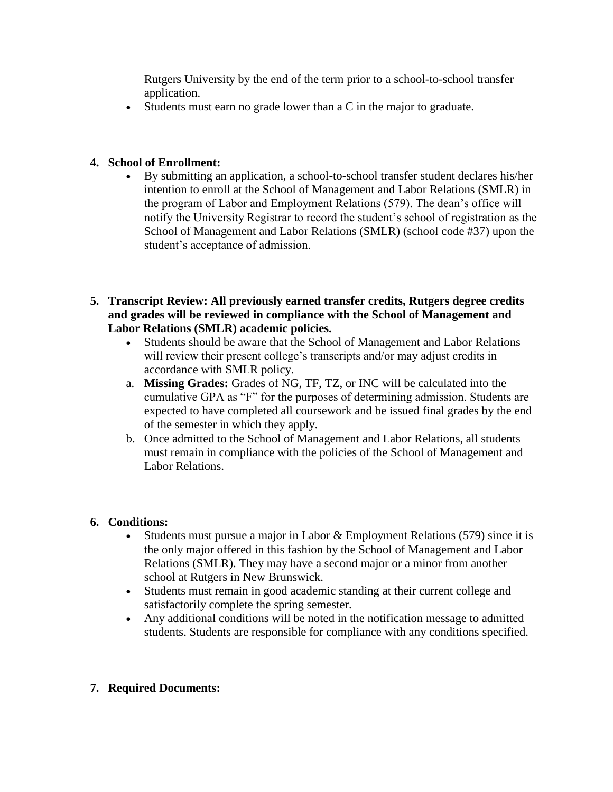Rutgers University by the end of the term prior to a school-to-school transfer application.

Students must earn no grade lower than a C in the major to graduate.

# **4. School of Enrollment:**

- By submitting an application, a school-to-school transfer student declares his/her intention to enroll at the School of Management and Labor Relations (SMLR) in the program of Labor and Employment Relations (579). The dean's office will notify the University Registrar to record the student's school of registration as the School of Management and Labor Relations (SMLR) (school code #37) upon the student's acceptance of admission.
- **5. Transcript Review: All previously earned transfer credits, Rutgers degree credits and grades will be reviewed in compliance with the School of Management and Labor Relations (SMLR) academic policies.** 
	- Students should be aware that the School of Management and Labor Relations will review their present college's transcripts and/or may adjust credits in accordance with SMLR policy.
	- a. **Missing Grades:** Grades of NG, TF, TZ, or INC will be calculated into the cumulative GPA as "F" for the purposes of determining admission. Students are expected to have completed all coursework and be issued final grades by the end of the semester in which they apply.
	- b. Once admitted to the School of Management and Labor Relations, all students must remain in compliance with the policies of the School of Management and Labor Relations.

## **6. Conditions:**

- Students must pursue a major in Labor & Employment Relations (579) since it is the only major offered in this fashion by the School of Management and Labor Relations (SMLR). They may have a second major or a minor from another school at Rutgers in New Brunswick.
- Students must remain in good academic standing at their current college and satisfactorily complete the spring semester.
- Any additional conditions will be noted in the notification message to admitted students. Students are responsible for compliance with any conditions specified.

## **7. Required Documents:**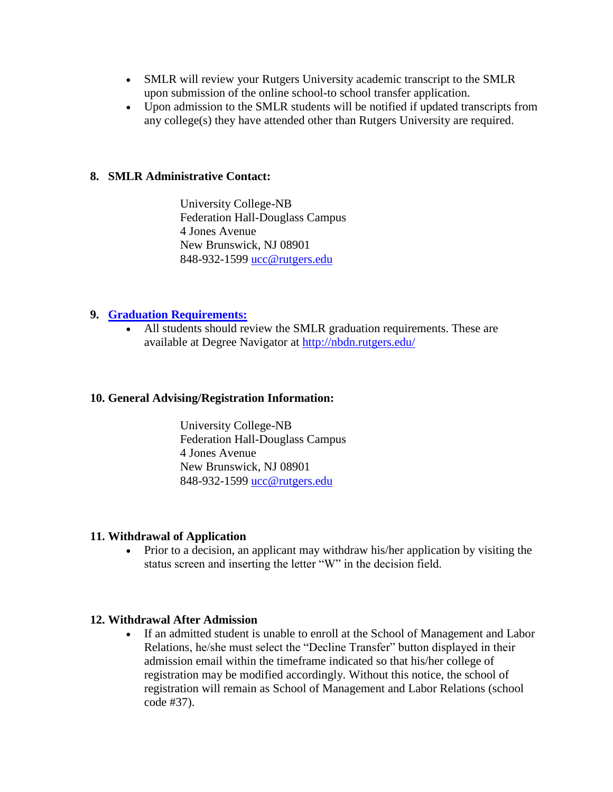- SMLR will review your Rutgers University academic transcript to the SMLR upon submission of the online school-to school transfer application.
- Upon admission to the SMLR students will be notified if updated transcripts from any college(s) they have attended other than Rutgers University are required.

### **8. SMLR Administrative Contact:**

University College-NB Federation Hall-Douglass Campus 4 Jones Avenue New Brunswick, NJ 08901 848-932-1599 [ucc@rutgers.edu](mailto:ucc@rutgers.edu)

### **9. [Graduation Requirements:](http://smlr.rutgers.edu/labor-and-employment-relations/requirements)**

 All students should review the SMLR graduation requirements. These are available at Degree Navigator at<http://nbdn.rutgers.edu/>

#### **10. General Advising/Registration Information:**

University College-NB Federation Hall-Douglass Campus 4 Jones Avenue New Brunswick, NJ 08901 848-932-1599 [ucc@rutgers.edu](mailto:ucc@rutgers.edu)

#### **11. Withdrawal of Application**

 Prior to a decision, an applicant may withdraw his/her application by visiting the status screen and inserting the letter "W" in the decision field.

#### **12. Withdrawal After Admission**

 If an admitted student is unable to enroll at the School of Management and Labor Relations, he/she must select the "Decline Transfer" button displayed in their admission email within the timeframe indicated so that his/her college of registration may be modified accordingly. Without this notice, the school of registration will remain as School of Management and Labor Relations (school code #37).